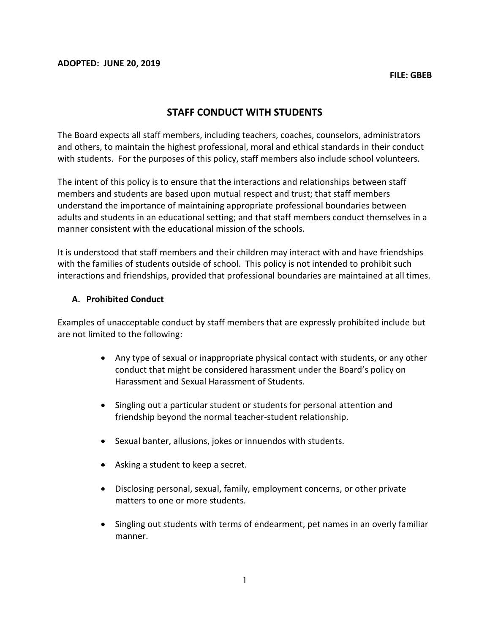# STAFF CONDUCT WITH STUDENTS

The Board expects all staff members, including teachers, coaches, counselors, administrators and others, to maintain the highest professional, moral and ethical standards in their conduct with students. For the purposes of this policy, staff members also include school volunteers.

The intent of this policy is to ensure that the interactions and relationships between staff members and students are based upon mutual respect and trust; that staff members understand the importance of maintaining appropriate professional boundaries between adults and students in an educational setting; and that staff members conduct themselves in a manner consistent with the educational mission of the schools.

It is understood that staff members and their children may interact with and have friendships with the families of students outside of school. This policy is not intended to prohibit such interactions and friendships, provided that professional boundaries are maintained at all times.

#### A. Prohibited Conduct

Examples of unacceptable conduct by staff members that are expressly prohibited include but are not limited to the following:

- Any type of sexual or inappropriate physical contact with students, or any other conduct that might be considered harassment under the Board's policy on Harassment and Sexual Harassment of Students.
- Singling out a particular student or students for personal attention and friendship beyond the normal teacher-student relationship.
- Sexual banter, allusions, jokes or innuendos with students.
- Asking a student to keep a secret.
- Disclosing personal, sexual, family, employment concerns, or other private matters to one or more students.
- Singling out students with terms of endearment, pet names in an overly familiar manner.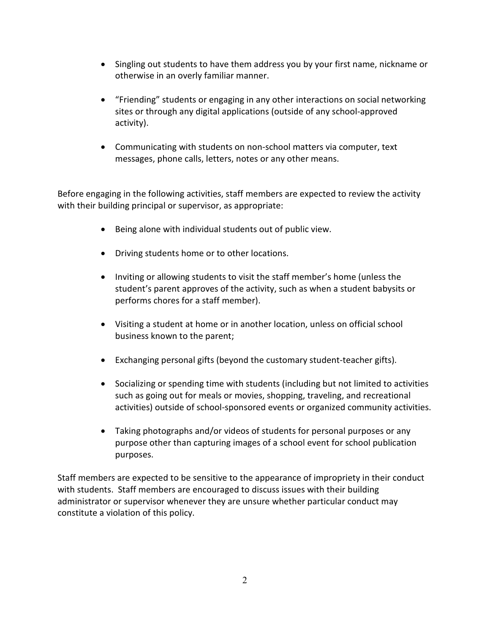- Singling out students to have them address you by your first name, nickname or otherwise in an overly familiar manner.
- "Friending" students or engaging in any other interactions on social networking sites or through any digital applications (outside of any school-approved activity).
- Communicating with students on non-school matters via computer, text messages, phone calls, letters, notes or any other means.

Before engaging in the following activities, staff members are expected to review the activity with their building principal or supervisor, as appropriate:

- Being alone with individual students out of public view.
- Driving students home or to other locations.
- Inviting or allowing students to visit the staff member's home (unless the student's parent approves of the activity, such as when a student babysits or performs chores for a staff member).
- Visiting a student at home or in another location, unless on official school business known to the parent;
- Exchanging personal gifts (beyond the customary student-teacher gifts).
- Socializing or spending time with students (including but not limited to activities such as going out for meals or movies, shopping, traveling, and recreational activities) outside of school-sponsored events or organized community activities.
- Taking photographs and/or videos of students for personal purposes or any purpose other than capturing images of a school event for school publication purposes.

Staff members are expected to be sensitive to the appearance of impropriety in their conduct with students. Staff members are encouraged to discuss issues with their building administrator or supervisor whenever they are unsure whether particular conduct may constitute a violation of this policy.